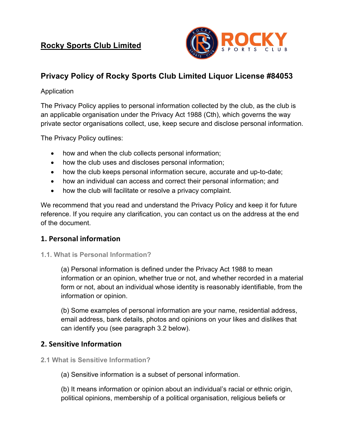

# **Privacy Policy of Rocky Sports Club Limited Liquor License #84053**

### Application

The Privacy Policy applies to personal information collected by the club, as the club is an applicable organisation under the Privacy Act 1988 (Cth), which governs the way private sector organisations collect, use, keep secure and disclose personal information.

The Privacy Policy outlines:

- how and when the club collects personal information;
- how the club uses and discloses personal information;
- how the club keeps personal information secure, accurate and up-to-date;
- how an individual can access and correct their personal information; and
- how the club will facilitate or resolve a privacy complaint.

We recommend that you read and understand the Privacy Policy and keep it for future reference. If you require any clarification, you can contact us on the address at the end of the document.

### **1. Personal information**

### **1.1. What is Personal Information?**

(a) Personal information is defined under the Privacy Act 1988 to mean information or an opinion, whether true or not, and whether recorded in a material form or not, about an individual whose identity is reasonably identifiable, from the information or opinion.

(b) Some examples of personal information are your name, residential address, email address, bank details, photos and opinions on your likes and dislikes that can identify you (see paragraph 3.2 below).

### **2. Sensitive Information**

**2.1 What is Sensitive Information?**

(a) Sensitive information is a subset of personal information.

(b) It means information or opinion about an individual's racial or ethnic origin, political opinions, membership of a political organisation, religious beliefs or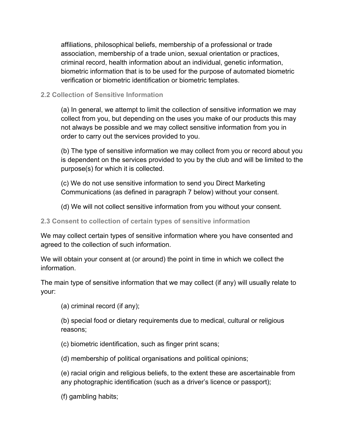affiliations, philosophical beliefs, membership of a professional or trade association, membership of a trade union, sexual orientation or practices, criminal record, health information about an individual, genetic information, biometric information that is to be used for the purpose of automated biometric verification or biometric identification or biometric templates.

#### **2.2 Collection of Sensitive Information**

(a) In general, we attempt to limit the collection of sensitive information we may collect from you, but depending on the uses you make of our products this may not always be possible and we may collect sensitive information from you in order to carry out the services provided to you.

(b) The type of sensitive information we may collect from you or record about you is dependent on the services provided to you by the club and will be limited to the purpose(s) for which it is collected.

(c) We do not use sensitive information to send you Direct Marketing Communications (as defined in paragraph 7 below) without your consent.

(d) We will not collect sensitive information from you without your consent.

#### **2.3 Consent to collection of certain types of sensitive information**

We may collect certain types of sensitive information where you have consented and agreed to the collection of such information.

We will obtain your consent at (or around) the point in time in which we collect the information.

The main type of sensitive information that we may collect (if any) will usually relate to your:

(a) criminal record (if any);

(b) special food or dietary requirements due to medical, cultural or religious reasons;

(c) biometric identification, such as finger print scans;

(d) membership of political organisations and political opinions;

(e) racial origin and religious beliefs, to the extent these are ascertainable from any photographic identification (such as a driver's licence or passport);

(f) gambling habits;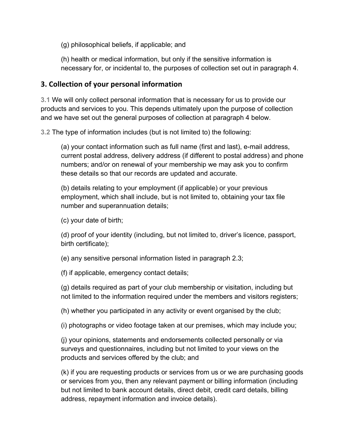(g) philosophical beliefs, if applicable; and

(h) health or medical information, but only if the sensitive information is necessary for, or incidental to, the purposes of collection set out in paragraph 4.

### **3. Collection of your personal information**

**3.1** We will only collect personal information that is necessary for us to provide our products and services to you. This depends ultimately upon the purpose of collection and we have set out the general purposes of collection at paragraph 4 below.

**3.2** The type of information includes (but is not limited to) the following:

(a) your contact information such as full name (first and last), e-mail address, current postal address, delivery address (if different to postal address) and phone numbers; and/or on renewal of your membership we may ask you to confirm these details so that our records are updated and accurate.

(b) details relating to your employment (if applicable) or your previous employment, which shall include, but is not limited to, obtaining your tax file number and superannuation details;

(c) your date of birth;

(d) proof of your identity (including, but not limited to, driver's licence, passport, birth certificate);

(e) any sensitive personal information listed in paragraph 2.3;

(f) if applicable, emergency contact details;

(g) details required as part of your club membership or visitation, including but not limited to the information required under the members and visitors registers;

(h) whether you participated in any activity or event organised by the club;

(i) photographs or video footage taken at our premises, which may include you;

(j) your opinions, statements and endorsements collected personally or via surveys and questionnaires, including but not limited to your views on the products and services offered by the club; and

(k) if you are requesting products or services from us or we are purchasing goods or services from you, then any relevant payment or billing information (including but not limited to bank account details, direct debit, credit card details, billing address, repayment information and invoice details).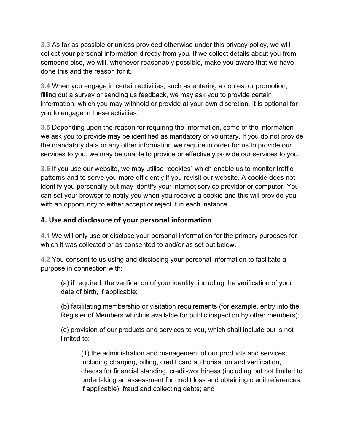**3.3** As far as possible or unless provided otherwise under this privacy policy, we will collect your personal information directly from you. If we collect details about you from someone else, we will, whenever reasonably possible, make you aware that we have done this and the reason for it.

**3.4** When you engage in certain activities, such as entering a contest or promotion, filling out a survey or sending us feedback, we may ask you to provide certain information, which you may withhold or provide at your own discretion. It is optional for you to engage in these activities.

**3.5** Depending upon the reason for requiring the information, some of the information we ask you to provide may be identified as mandatory or voluntary. If you do not provide the mandatory data or any other information we require in order for us to provide our services to you, we may be unable to provide or effectively provide our services to you.

**3.6** If you use our website, we may utilise "cookies" which enable us to monitor traffic patterns and to serve you more efficiently if you revisit our website. A cookie does not identify you personally but may identify your internet service provider or computer. You can set your browser to notify you when you receive a cookie and this will provide you with an opportunity to either accept or reject it in each instance.

### **4. Use and disclosure of your personal information**

**4.1** We will only use or disclose your personal information for the primary purposes for which it was collected or as consented to and/or as set out below.

**4.2** You consent to us using and disclosing your personal information to facilitate a purpose in connection with:

(a) if required, the verification of your identity, including the verification of your date of birth, if applicable;

(b) facilitating membership or visitation requirements (for example, entry into the Register of Members which is available for public inspection by other members);

(c) provision of our products and services to you, which shall include but is not limited to:

(1) the administration and management of our products and services, including charging, billing, credit card authorisation and verification, checks for financial standing, credit-worthiness (including but not limited to undertaking an assessment for credit loss and obtaining credit references, if applicable), fraud and collecting debts; and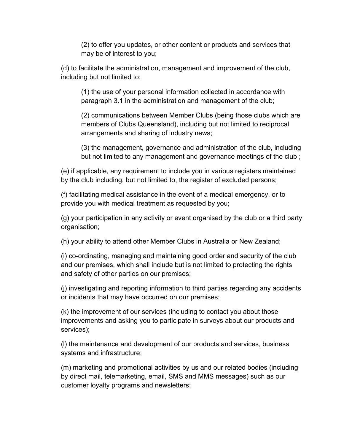(2) to offer you updates, or other content or products and services that may be of interest to you;

(d) to facilitate the administration, management and improvement of the club, including but not limited to:

(1) the use of your personal information collected in accordance with paragraph 3.1 in the administration and management of the club;

(2) communications between Member Clubs (being those clubs which are members of Clubs Queensland), including but not limited to reciprocal arrangements and sharing of industry news;

(3) the management, governance and administration of the club, including but not limited to any management and governance meetings of the club ;

(e) if applicable, any requirement to include you in various registers maintained by the club including, but not limited to, the register of excluded persons;

(f) facilitating medical assistance in the event of a medical emergency, or to provide you with medical treatment as requested by you;

(g) your participation in any activity or event organised by the club or a third party organisation;

(h) your ability to attend other Member Clubs in Australia or New Zealand;

(i) co-ordinating, managing and maintaining good order and security of the club and our premises, which shall include but is not limited to protecting the rights and safety of other parties on our premises;

(j) investigating and reporting information to third parties regarding any accidents or incidents that may have occurred on our premises;

(k) the improvement of our services (including to contact you about those improvements and asking you to participate in surveys about our products and services);

(l) the maintenance and development of our products and services, business systems and infrastructure;

(m) marketing and promotional activities by us and our related bodies (including by direct mail, telemarketing, email, SMS and MMS messages) such as our customer loyalty programs and newsletters;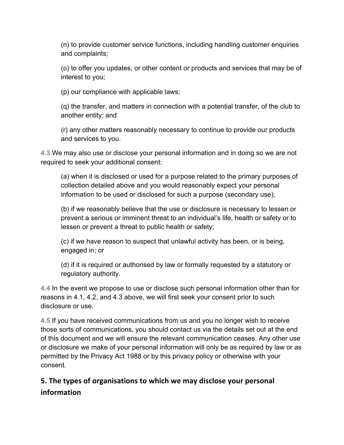(n) to provide customer service functions, including handling customer enquiries and complaints;

(o) to offer you updates, or other content or products and services that may be of interest to you;

(p) our compliance with applicable laws;

(q) the transfer, and matters in connection with a potential transfer, of the club to another entity; and

(r) any other matters reasonably necessary to continue to provide our products and services to you.

**4.3** We may also use or disclose your personal information and in doing so we are not required to seek your additional consent:

(a) when it is disclosed or used for a purpose related to the primary purposes of collection detailed above and you would reasonably expect your personal information to be used or disclosed for such a purpose (secondary use);

(b) if we reasonably believe that the use or disclosure is necessary to lessen or prevent a serious or imminent threat to an individual's life, health or safety or to lessen or prevent a threat to public health or safety;

(c) if we have reason to suspect that unlawful activity has been, or is being, engaged in; or

(d) if it is required or authorised by law or formally requested by a statutory or regulatory authority.

**4.4** In the event we propose to use or disclose such personal information other than for reasons in 4.1, 4.2, and 4.3 above, we will first seek your consent prior to such disclosure or use.

**4.5** If you have received communications from us and you no longer wish to receive those sorts of communications, you should contact us via the details set out at the end of this document and we will ensure the relevant communication ceases. Any other use or disclosure we make of your personal information will only be as required by law or as permitted by the Privacy Act 1988 or by this privacy policy or otherwise with your consent.

# **5. The types of organisations to which we may disclose your personal information**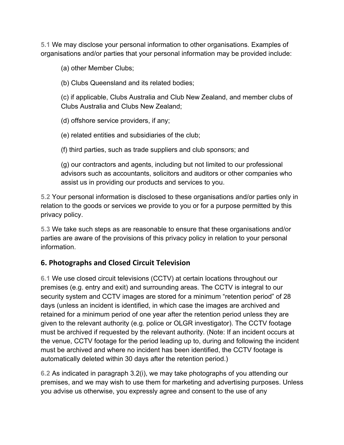**5.1** We may disclose your personal information to other organisations. Examples of organisations and/or parties that your personal information may be provided include:

(a) other Member Clubs;

(b) Clubs Queensland and its related bodies;

(c) if applicable, Clubs Australia and Club New Zealand, and member clubs of Clubs Australia and Clubs New Zealand;

(d) offshore service providers, if any;

(e) related entities and subsidiaries of the club;

(f) third parties, such as trade suppliers and club sponsors; and

(g) our contractors and agents, including but not limited to our professional advisors such as accountants, solicitors and auditors or other companies who assist us in providing our products and services to you.

**5.2** Your personal information is disclosed to these organisations and/or parties only in relation to the goods or services we provide to you or for a purpose permitted by this privacy policy.

**5.3** We take such steps as are reasonable to ensure that these organisations and/or parties are aware of the provisions of this privacy policy in relation to your personal information.

### **6. Photographs and Closed Circuit Television**

**6.1** We use closed circuit televisions (CCTV) at certain locations throughout our premises (e.g. entry and exit) and surrounding areas. The CCTV is integral to our security system and CCTV images are stored for a minimum "retention period" of 28 days (unless an incident is identified, in which case the images are archived and retained for a minimum period of one year after the retention period unless they are given to the relevant authority (e.g. police or OLGR investigator). The CCTV footage must be archived if requested by the relevant authority. (Note: If an incident occurs at the venue, CCTV footage for the period leading up to, during and following the incident must be archived and where no incident has been identified, the CCTV footage is automatically deleted within 30 days after the retention period.)

**6.2** As indicated in paragraph 3.2(i), we may take photographs of you attending our premises, and we may wish to use them for marketing and advertising purposes. Unless you advise us otherwise, you expressly agree and consent to the use of any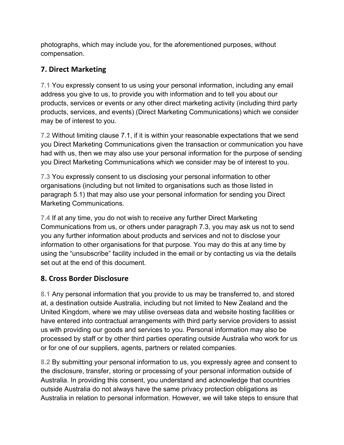photographs, which may include you, for the aforementioned purposes, without compensation.

### **7. Direct Marketing**

**7.1** You expressly consent to us using your personal information, including any email address you give to us, to provide you with information and to tell you about our products, services or events or any other direct marketing activity (including third party products, services, and events) (Direct Marketing Communications) which we consider may be of interest to you.

**7.2** Without limiting clause 7.1, if it is within your reasonable expectations that we send you Direct Marketing Communications given the transaction or communication you have had with us, then we may also use your personal information for the purpose of sending you Direct Marketing Communications which we consider may be of interest to you.

**7.3** You expressly consent to us disclosing your personal information to other organisations (including but not limited to organisations such as those listed in paragraph 5.1) that may also use your personal information for sending you Direct Marketing Communications.

**7.4** If at any time, you do not wish to receive any further Direct Marketing Communications from us, or others under paragraph 7.3, you may ask us not to send you any further information about products and services and not to disclose your information to other organisations for that purpose. You may do this at any time by using the "unsubscribe" facility included in the email or by contacting us via the details set out at the end of this document.

## **8. Cross Border Disclosure**

**8.1** Any personal information that you provide to us may be transferred to, and stored at, a destination outside Australia, including but not limited to New Zealand and the United Kingdom, where we may utilise overseas data and website hosting facilities or have entered into contractual arrangements with third party service providers to assist us with providing our goods and services to you. Personal information may also be processed by staff or by other third parties operating outside Australia who work for us or for one of our suppliers, agents, partners or related companies.

**8.2** By submitting your personal information to us, you expressly agree and consent to the disclosure, transfer, storing or processing of your personal information outside of Australia. In providing this consent, you understand and acknowledge that countries outside Australia do not always have the same privacy protection obligations as Australia in relation to personal information. However, we will take steps to ensure that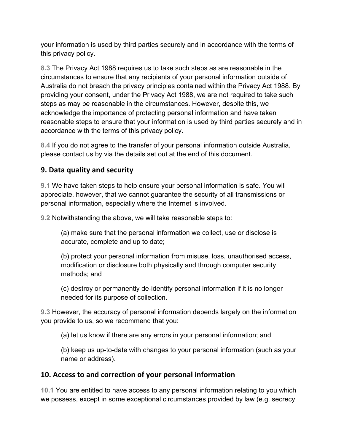your information is used by third parties securely and in accordance with the terms of this privacy policy.

**8.3** The Privacy Act 1988 requires us to take such steps as are reasonable in the circumstances to ensure that any recipients of your personal information outside of Australia do not breach the privacy principles contained within the Privacy Act 1988. By providing your consent, under the Privacy Act 1988, we are not required to take such steps as may be reasonable in the circumstances. However, despite this, we acknowledge the importance of protecting personal information and have taken reasonable steps to ensure that your information is used by third parties securely and in accordance with the terms of this privacy policy.

**8.4** If you do not agree to the transfer of your personal information outside Australia, please contact us by via the details set out at the end of this document.

## **9. Data quality and security**

**9.1** We have taken steps to help ensure your personal information is safe. You will appreciate, however, that we cannot guarantee the security of all transmissions or personal information, especially where the Internet is involved.

**9.2** Notwithstanding the above, we will take reasonable steps to:

(a) make sure that the personal information we collect, use or disclose is accurate, complete and up to date;

(b) protect your personal information from misuse, loss, unauthorised access, modification or disclosure both physically and through computer security methods; and

(c) destroy or permanently de-identify personal information if it is no longer needed for its purpose of collection.

**9.3** However, the accuracy of personal information depends largely on the information you provide to us, so we recommend that you:

(a) let us know if there are any errors in your personal information; and

(b) keep us up-to-date with changes to your personal information (such as your name or address).

### **10. Access to and correction of your personal information**

**10.1** You are entitled to have access to any personal information relating to you which we possess, except in some exceptional circumstances provided by law (e.g. secrecy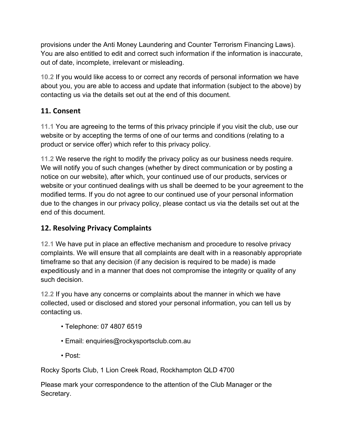provisions under the Anti Money Laundering and Counter Terrorism Financing Laws). You are also entitled to edit and correct such information if the information is inaccurate, out of date, incomplete, irrelevant or misleading.

**10.2** If you would like access to or correct any records of personal information we have about you, you are able to access and update that information (subject to the above) by contacting us via the details set out at the end of this document.

## **11. Consent**

**11.1** You are agreeing to the terms of this privacy principle if you visit the club, use our website or by accepting the terms of one of our terms and conditions (relating to a product or service offer) which refer to this privacy policy.

**11.2** We reserve the right to modify the privacy policy as our business needs require. We will notify you of such changes (whether by direct communication or by posting a notice on our website), after which, your continued use of our products, services or website or your continued dealings with us shall be deemed to be your agreement to the modified terms. If you do not agree to our continued use of your personal information due to the changes in our privacy policy, please contact us via the details set out at the end of this document.

## **12. Resolving Privacy Complaints**

**12.1** We have put in place an effective mechanism and procedure to resolve privacy complaints. We will ensure that all complaints are dealt with in a reasonably appropriate timeframe so that any decision (if any decision is required to be made) is made expeditiously and in a manner that does not compromise the integrity or quality of any such decision.

**12.2** If you have any concerns or complaints about the manner in which we have collected, used or disclosed and stored your personal information, you can tell us by contacting us.

- Telephone: 07 4807 6519
- Email: enquiries@rockysportsclub.com.au
- Post:

Rocky Sports Club, 1 Lion Creek Road, Rockhampton QLD 4700

Please mark your correspondence to the attention of the Club Manager or the Secretary.